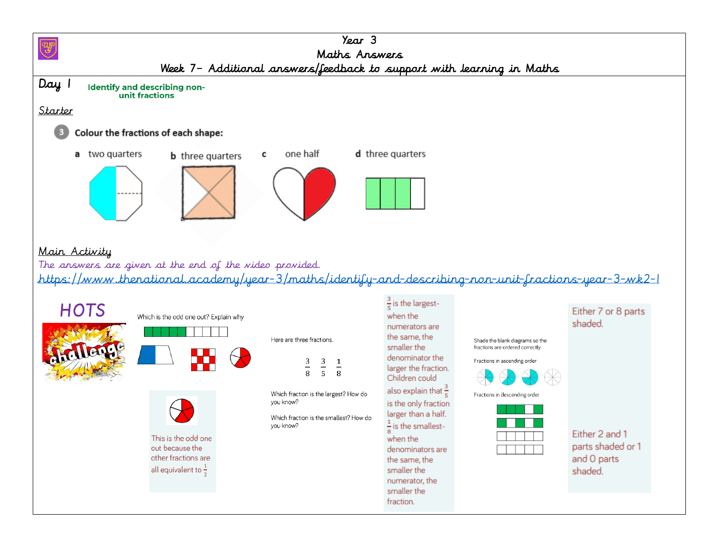| $\gamma_{\text{ear}}$ 3<br>Maths Answers<br>Week 7- Additional answers/feedback to support with learning in Maths                                                                                                                                                                                                                                   |                                                                                                                                                                                           |                                                                                                                                                                                                                                                                                                                                                                                            |                                                                                                                                      |                                                                                                 |  |  |  |  |  |
|-----------------------------------------------------------------------------------------------------------------------------------------------------------------------------------------------------------------------------------------------------------------------------------------------------------------------------------------------------|-------------------------------------------------------------------------------------------------------------------------------------------------------------------------------------------|--------------------------------------------------------------------------------------------------------------------------------------------------------------------------------------------------------------------------------------------------------------------------------------------------------------------------------------------------------------------------------------------|--------------------------------------------------------------------------------------------------------------------------------------|-------------------------------------------------------------------------------------------------|--|--|--|--|--|
| Day 1<br>Identify and describing non-<br>unit fractions<br>Starter<br>Colour the fractions of each shape:<br>a two quarters<br><b>b</b> three quarters                                                                                                                                                                                              | one half<br>с                                                                                                                                                                             | d three quarters                                                                                                                                                                                                                                                                                                                                                                           |                                                                                                                                      |                                                                                                 |  |  |  |  |  |
| Main Activity<br>The answers are given at the end of the video provided.<br><u>https://www.thenational.academy/year-3/maths/identify-and-describing-non-unit-fractions-year-3-wk2-1</u><br><b>HOTS</b><br>Which is the odd one out? Explain why<br>This is the odd one<br>out because the<br>other fractions are<br>all equivalent to $\frac{1}{2}$ | Here are three fractions.<br>$\frac{3}{5}$<br>$\frac{3}{8}$<br>$\frac{1}{8}$<br>Which fraction is the largest? How do<br>you know?<br>Which fraction is the smallest? How do<br>you know? | $\frac{3}{5}$ is the largest-<br>when the<br>numerators are<br>the same, the<br>smaller the<br>denominator the<br>larger the fraction.<br>Children could<br>also explain that $\frac{3}{r}$<br>is the only fraction<br>larger than a half.<br>$\frac{1}{2}$ is the smallest-<br>when the<br>denominators are<br>the same, the<br>smaller the<br>numerator, the<br>smaller the<br>fraction. | Shade the blank diagrams so the<br>fractions are ordered correctly.<br>Fractions in ascending order<br>Fractions in descending order | Either 7 or 8 parts<br>shaded.<br>Either 2 and 1<br>parts shaded or 1<br>and O parts<br>shaded. |  |  |  |  |  |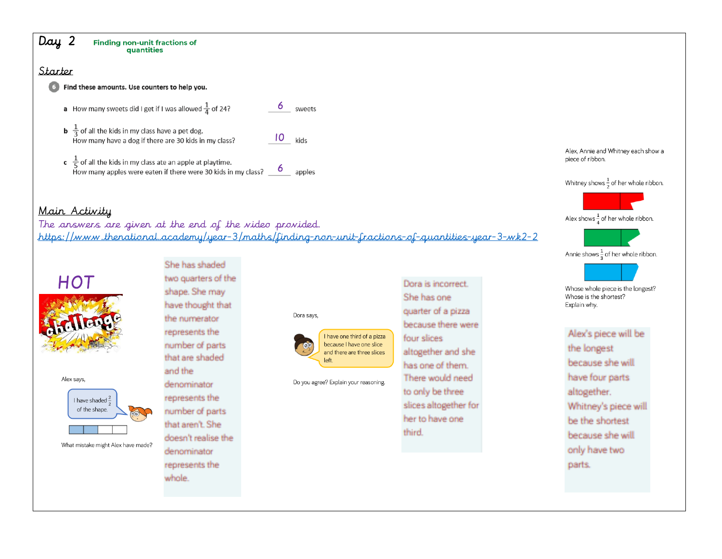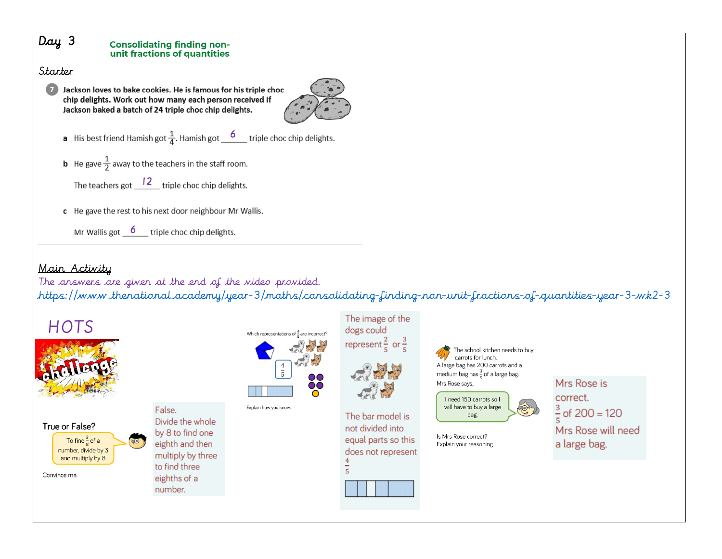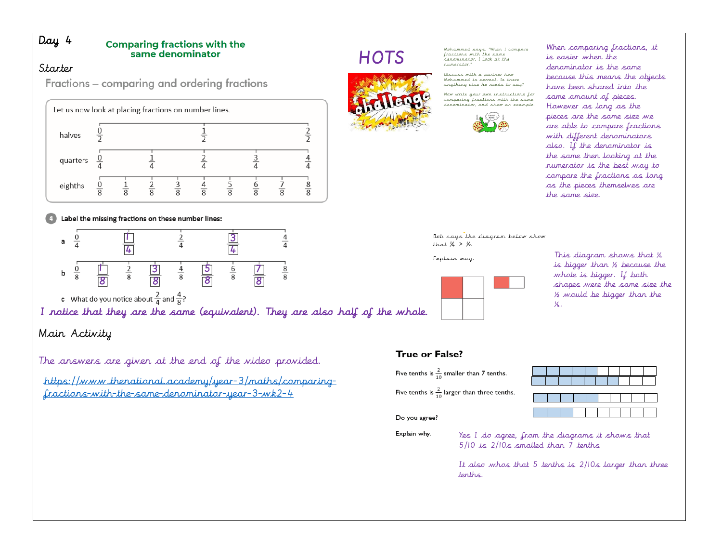### Day 4

#### **Comparing fractions with the** same denominator

#### Starter

Fractions - comparing and ordering fractions



#### Label the missing fractions on these number lines:



c What do you notice about  $\frac{2}{4}$  and  $\frac{4}{8}$ ?

I notice that they are the same (equivalent). They are also half of the whole.

## Main Activity

The answers are given at the end of the video provided.

[https://www.thenational.academy/year-3/maths/comparing](https://www.thenational.academy/year-3/maths/comparing-fractions-with-the-same-denominator-year-3-wk2-4)[fractions-with-the-same-denominator-year-3-wk2-4](https://www.thenational.academy/year-3/maths/comparing-fractions-with-the-same-denominator-year-3-wk2-4) 

# **HOTS**



Mohammed says, "When I compare fractions with the same denominator. I look at the numerator

Discuss with a partner how Mohammed is correct. Is there<br>anything else he needs to say?

Now write your own instructions for comparing fractions with the same denominator, and show an example



When comparing fractions, it is easier when the denominator is the same because this means the objects have been shared into the same amount of pieces. However as long as the pieces are the same size we are able to compare fractions with different denominators also. If the denominator is the same then looking at the numerator is the best way to compare the fractions as long as the pieces themselves are the same size.

Bob says the diagram below show that  $\frac{1}{4}$  >  $\frac{1}{2}$ .

Explain way.



This diagram shows that ¼ is bigger than ½ because the whole is bigger. If both shapes were the same size the ½ would be bigger than the ¼.

#### True or False?

| Five tenths is $\frac{2}{10}$ smaller than 7 tenths.    |
|---------------------------------------------------------|
| Five tenths is $\frac{2}{10}$ larger than three tenths. |

Do you agree?

|          |  |  |  |   | $\mathbf{I}$ and $\mathbf{I}$ |
|----------|--|--|--|---|-------------------------------|
| a sa Tin |  |  |  |   | $\sim 10$                     |
|          |  |  |  |   |                               |
|          |  |  |  | . |                               |
|          |  |  |  |   |                               |
|          |  |  |  |   | $\top$                        |
|          |  |  |  |   |                               |

the contract of the contract of the

Explain why.

Yes I do agree, from the diagrams it shows that 5/10 is 2/10s smalled than 7 tenths

It also whos that 5 tenths is 2/10s larger than three tenths.